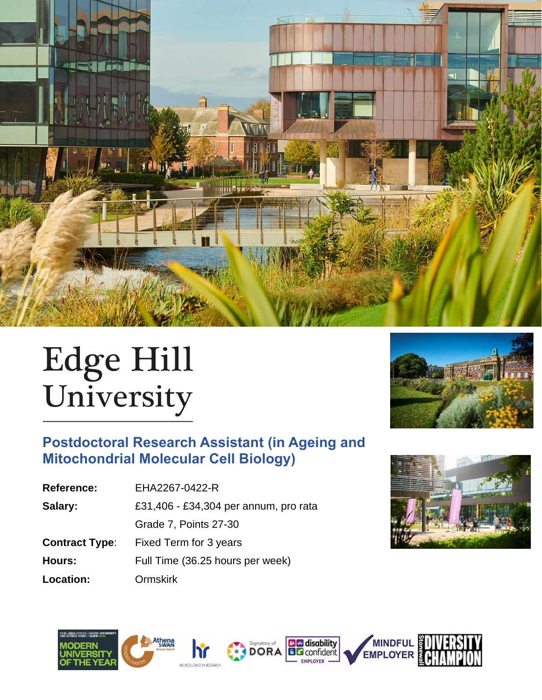

# Edge Hill<br>University

# **Postdoctoral Research Assistant (in Ageing and Mitochondrial Molecular Cell Biology)**

| <b>Reference:</b>     | EHA2267-0422-R                        |  |  |
|-----------------------|---------------------------------------|--|--|
| Salary:               | £31,406 - £34,304 per annum, pro rata |  |  |
|                       | Grade 7, Points 27-30                 |  |  |
| <b>Contract Type:</b> | Fixed Term for 3 years                |  |  |
| <b>Hours:</b>         | Full Time (36.25 hours per week)      |  |  |
| <b>Location:</b>      | <b>Ormskirk</b>                       |  |  |
|                       |                                       |  |  |











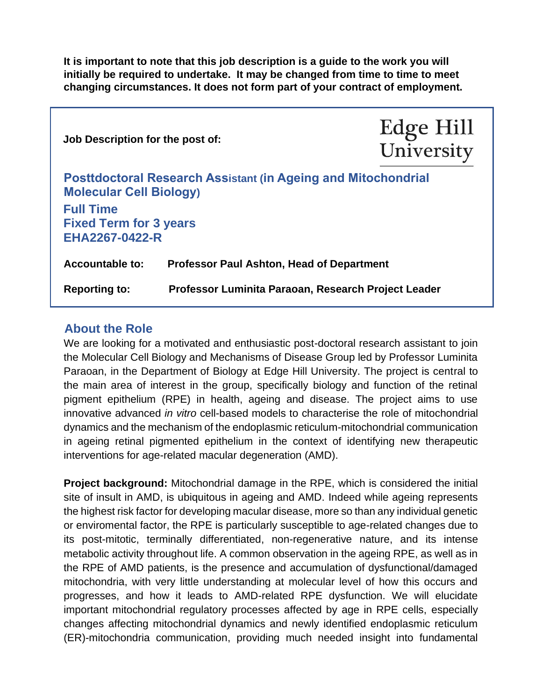**It is important to note that this job description is a guide to the work you will initially be required to undertake. It may be changed from time to time to meet changing circumstances. It does not form part of your contract of employment.** 

| Job Description for the post of:                                                                       |                                                     | Edge Hill<br>University |
|--------------------------------------------------------------------------------------------------------|-----------------------------------------------------|-------------------------|
| <b>Posttdoctoral Research Assistant (in Ageing and Mitochondrial</b><br><b>Molecular Cell Biology)</b> |                                                     |                         |
| <b>Full Time</b><br><b>Fixed Term for 3 years</b><br>EHA2267-0422-R                                    |                                                     |                         |
| <b>Accountable to:</b>                                                                                 | <b>Professor Paul Ashton, Head of Department</b>    |                         |
| <b>Reporting to:</b>                                                                                   | Professor Luminita Paraoan, Research Project Leader |                         |

# **About the Role**

We are looking for a motivated and enthusiastic post-doctoral research assistant to join the Molecular Cell Biology and Mechanisms of Disease Group led by Professor Luminita Paraoan, in the Department of Biology at Edge Hill University. The project is central to the main area of interest in the group, specifically biology and function of the retinal pigment epithelium (RPE) in health, ageing and disease. The project aims to use innovative advanced *in vitro* cell-based models to characterise the role of mitochondrial dynamics and the mechanism of the endoplasmic reticulum-mitochondrial communication in ageing retinal pigmented epithelium in the context of identifying new therapeutic interventions for age-related macular degeneration (AMD).

**Project background:** Mitochondrial damage in the RPE, which is considered the initial site of insult in AMD, is ubiquitous in ageing and AMD. Indeed while ageing represents the highest risk factor for developing macular disease, more so than any individual genetic or enviromental factor, the RPE is particularly susceptible to age-related changes due to its post-mitotic, terminally differentiated, non-regenerative nature, and its intense metabolic activity throughout life. A common observation in the ageing RPE, as well as in the RPE of AMD patients, is the presence and accumulation of dysfunctional/damaged mitochondria, with very little understanding at molecular level of how this occurs and progresses, and how it leads to AMD-related RPE dysfunction. We will elucidate important mitochondrial regulatory processes affected by age in RPE cells, especially changes affecting mitochondrial dynamics and newly identified endoplasmic reticulum (ER)-mitochondria communication, providing much needed insight into fundamental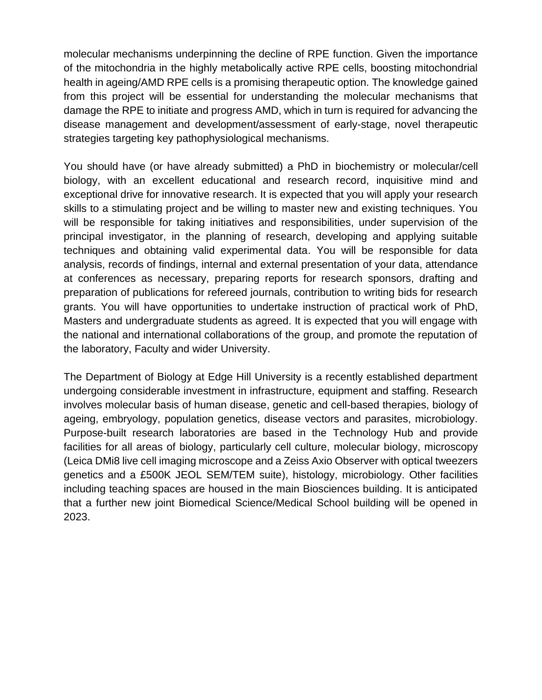molecular mechanisms underpinning the decline of RPE function. Given the importance of the mitochondria in the highly metabolically active RPE cells, boosting mitochondrial health in ageing/AMD RPE cells is a promising therapeutic option. The knowledge gained from this project will be essential for understanding the molecular mechanisms that damage the RPE to initiate and progress AMD, which in turn is required for advancing the disease management and development/assessment of early-stage, novel therapeutic strategies targeting key pathophysiological mechanisms.

You should have (or have already submitted) a PhD in biochemistry or molecular/cell biology, with an excellent educational and research record, inquisitive mind and exceptional drive for innovative research. It is expected that you will apply your research skills to a stimulating project and be willing to master new and existing techniques. You will be responsible for taking initiatives and responsibilities, under supervision of the principal investigator, in the planning of research, developing and applying suitable techniques and obtaining valid experimental data. You will be responsible for data analysis, records of findings, internal and external presentation of your data, attendance at conferences as necessary, preparing reports for research sponsors, drafting and preparation of publications for refereed journals, contribution to writing bids for research grants. You will have opportunities to undertake instruction of practical work of PhD, Masters and undergraduate students as agreed. It is expected that you will engage with the national and international collaborations of the group, and promote the reputation of the laboratory, Faculty and wider University.

The Department of Biology at Edge Hill University is a recently established department undergoing considerable investment in infrastructure, equipment and staffing. Research involves molecular basis of human disease, genetic and cell-based therapies, biology of ageing, embryology, population genetics, disease vectors and parasites, microbiology. Purpose-built research laboratories are based in the Technology Hub and provide facilities for all areas of biology, particularly cell culture, molecular biology, microscopy (Leica DMi8 live cell imaging microscope and a Zeiss Axio Observer with optical tweezers genetics and a £500K JEOL SEM/TEM suite), histology, microbiology. Other facilities including teaching spaces are housed in the main Biosciences building. It is anticipated that a further new joint Biomedical Science/Medical School building will be opened in 2023.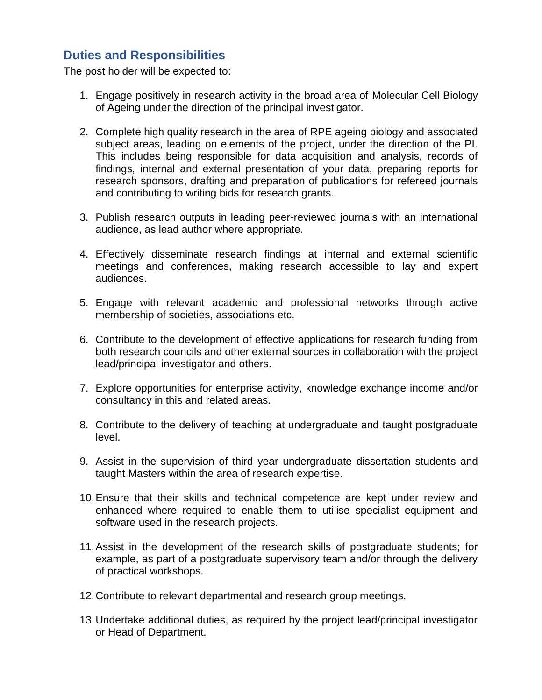# **Duties and Responsibilities**

The post holder will be expected to:

- 1. Engage positively in research activity in the broad area of Molecular Cell Biology of Ageing under the direction of the principal investigator.
- 2. Complete high quality research in the area of RPE ageing biology and associated subject areas, leading on elements of the project, under the direction of the PI. This includes being responsible for data acquisition and analysis, records of findings, internal and external presentation of your data, preparing reports for research sponsors, drafting and preparation of publications for refereed journals and contributing to writing bids for research grants.
- 3. Publish research outputs in leading peer-reviewed journals with an international audience, as lead author where appropriate.
- 4. Effectively disseminate research findings at internal and external scientific meetings and conferences, making research accessible to lay and expert audiences.
- 5. Engage with relevant academic and professional networks through active membership of societies, associations etc.
- 6. Contribute to the development of effective applications for research funding from both research councils and other external sources in collaboration with the project lead/principal investigator and others.
- 7. Explore opportunities for enterprise activity, knowledge exchange income and/or consultancy in this and related areas.
- 8. Contribute to the delivery of teaching at undergraduate and taught postgraduate level.
- 9. Assist in the supervision of third year undergraduate dissertation students and taught Masters within the area of research expertise.
- 10.Ensure that their skills and technical competence are kept under review and enhanced where required to enable them to utilise specialist equipment and software used in the research projects.
- 11.Assist in the development of the research skills of postgraduate students; for example, as part of a postgraduate supervisory team and/or through the delivery of practical workshops.
- 12.Contribute to relevant departmental and research group meetings.
- 13.Undertake additional duties, as required by the project lead/principal investigator or Head of Department.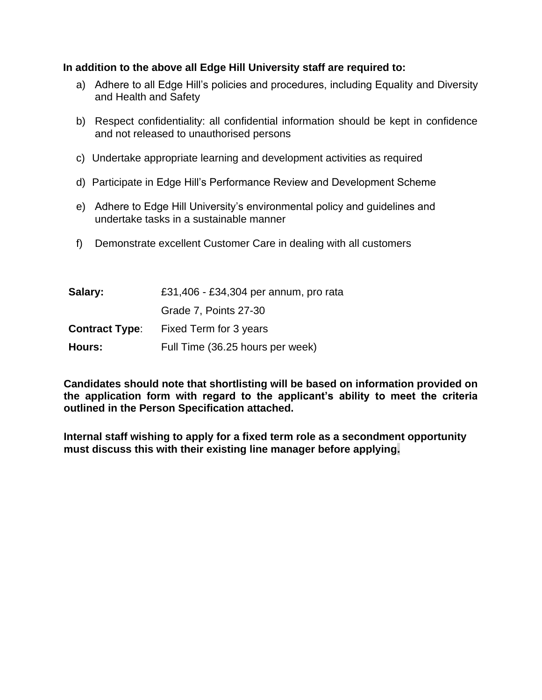### **In addition to the above all Edge Hill University staff are required to:**

- a) Adhere to all Edge Hill's policies and procedures, including Equality and Diversity and Health and Safety
- b) Respect confidentiality: all confidential information should be kept in confidence and not released to unauthorised persons
- c) Undertake appropriate learning and development activities as required
- d) Participate in Edge Hill's Performance Review and Development Scheme
- e) Adhere to Edge Hill University's environmental policy and guidelines and undertake tasks in a sustainable manner
- f) Demonstrate excellent Customer Care in dealing with all customers

| Salary:               | £31,406 - £34,304 per annum, pro rata |
|-----------------------|---------------------------------------|
|                       | Grade 7, Points 27-30                 |
| <b>Contract Type:</b> | Fixed Term for 3 years                |
| Hours:                | Full Time (36.25 hours per week)      |

**Candidates should note that shortlisting will be based on information provided on the application form with regard to the applicant's ability to meet the criteria outlined in the Person Specification attached.**

**Internal staff wishing to apply for a fixed term role as a secondment opportunity must discuss this with their existing line manager before applying.**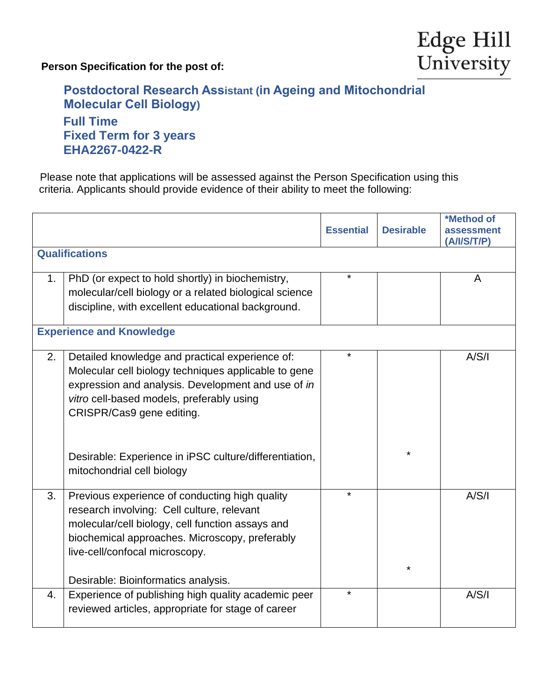**Person Specification for the post of:**



# **Postdoctoral Research Assistant (in Ageing and Mitochondrial Molecular Cell Biology) Full Time Fixed Term for 3 years EHA2267-0422-R**

 Please note that applications will be assessed against the Person Specification using this criteria. Applicants should provide evidence of their ability to meet the following:

|    |                                                                                                                                                                                                                                                                                                                                 | <b>Essential</b> | <b>Desirable</b> | *Method of<br>assessment<br>(A/I/S/T/P) |
|----|---------------------------------------------------------------------------------------------------------------------------------------------------------------------------------------------------------------------------------------------------------------------------------------------------------------------------------|------------------|------------------|-----------------------------------------|
|    | <b>Qualifications</b>                                                                                                                                                                                                                                                                                                           |                  |                  |                                         |
| 1. | PhD (or expect to hold shortly) in biochemistry,<br>molecular/cell biology or a related biological science<br>discipline, with excellent educational background.                                                                                                                                                                | $\star$          |                  | A                                       |
|    | <b>Experience and Knowledge</b>                                                                                                                                                                                                                                                                                                 |                  |                  |                                         |
| 2. | Detailed knowledge and practical experience of:<br>Molecular cell biology techniques applicable to gene<br>expression and analysis. Development and use of in<br>vitro cell-based models, preferably using<br>CRISPR/Cas9 gene editing.<br>Desirable: Experience in iPSC culture/differentiation,<br>mitochondrial cell biology | $\star$          | $^\star$         | A/S/I                                   |
| 3. | Previous experience of conducting high quality<br>research involving: Cell culture, relevant<br>molecular/cell biology, cell function assays and<br>biochemical approaches. Microscopy, preferably<br>live-cell/confocal microscopy.<br>Desirable: Bioinformatics analysis.                                                     | $\star$          |                  | A/S/I                                   |
| 4. | Experience of publishing high quality academic peer<br>reviewed articles, appropriate for stage of career                                                                                                                                                                                                                       | $\star$          |                  | A/S/I                                   |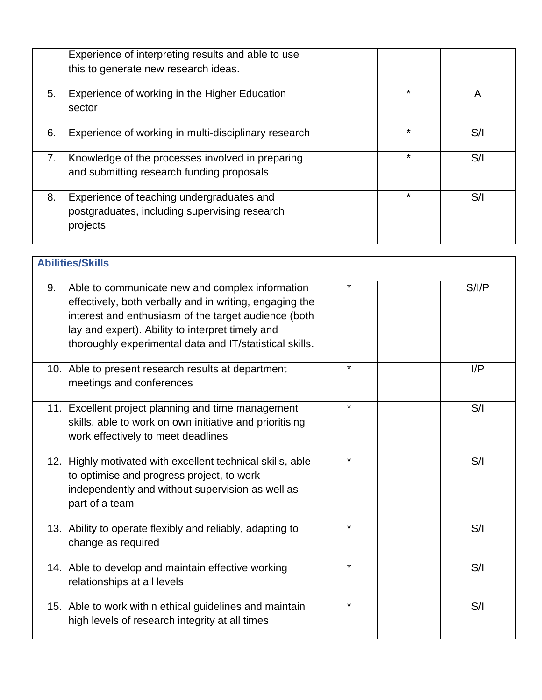|    | Experience of interpreting results and able to use<br>this to generate new research ideas.             |         |     |
|----|--------------------------------------------------------------------------------------------------------|---------|-----|
| 5. | Experience of working in the Higher Education<br>sector                                                | *       | A   |
| 6. | Experience of working in multi-disciplinary research                                                   | *       | S/I |
| 7. | Knowledge of the processes involved in preparing<br>and submitting research funding proposals          | *       | S/I |
| 8. | Experience of teaching undergraduates and<br>postgraduates, including supervising research<br>projects | $\star$ | S/I |

| <b>Abilities/Skills</b> |                                                                                                                                                                                                                                                                                   |         |  |      |
|-------------------------|-----------------------------------------------------------------------------------------------------------------------------------------------------------------------------------------------------------------------------------------------------------------------------------|---------|--|------|
| 9.                      | Able to communicate new and complex information<br>effectively, both verbally and in writing, engaging the<br>interest and enthusiasm of the target audience (both<br>lay and expert). Ability to interpret timely and<br>thoroughly experimental data and IT/statistical skills. | ¥       |  | S/IP |
| 10.1                    | Able to present research results at department<br>meetings and conferences                                                                                                                                                                                                        |         |  | I/P  |
| 11.1                    | Excellent project planning and time management<br>skills, able to work on own initiative and prioritising<br>work effectively to meet deadlines                                                                                                                                   | $\star$ |  | S/I  |
| 12.                     | Highly motivated with excellent technical skills, able<br>to optimise and progress project, to work<br>independently and without supervision as well as<br>part of a team                                                                                                         | $\star$ |  | S/I  |
| 13.                     | Ability to operate flexibly and reliably, adapting to<br>change as required                                                                                                                                                                                                       | ¥       |  | S/I  |
| 14.                     | Able to develop and maintain effective working<br>relationships at all levels                                                                                                                                                                                                     | $\star$ |  | S/I  |
| 15.                     | Able to work within ethical guidelines and maintain<br>high levels of research integrity at all times                                                                                                                                                                             | $\star$ |  | S/I  |